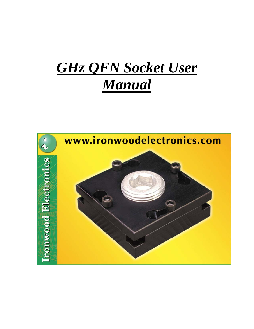# *GHz QFN Socket User Manual*

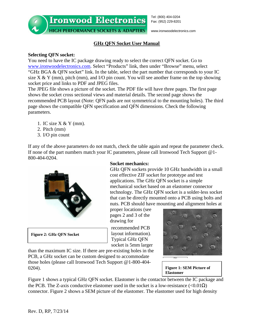**Ironwood Electronics** 

Tel: (800) 404-0204 Fax: (952) 229-8201

**HIGH PERFORMANCE SOCKETS & ADAPTERS** 

www.ironwoodelectronics.com

# **GHz QFN Socket User Manual**

# **Selecting QFN socket:**

You need to have the IC package drawing ready to select the correct QFN socket. Go to www.ironwoodelectronics.com. Select "Products" link, then under "Browse" menu, select "GHz BGA & QFN socket" link. In the table, select the part number that corresponds to your IC size  $X & Y$  (mm), pitch (mm), and I/O pin count. You will see another frame on the top showing socket price and links to PDF and JPEG files.

The JPEG file shows a picture of the socket. The PDF file will have three pages. The first page shows the socket cross sectional views and material details. The second page shows the recommended PCB layout (Note: QFN pads are not symmetrical to the mounting holes). The third page shows the compatible QFN specification and QFN dimensions. Check the following parameters.

- 1. IC size X & Y (mm).
- 2. Pitch (mm)
- 3. I/O pin count

If any of the above parameters do not match, check the table again and repeat the parameter check. If none of the part numbers match your IC parameters, please call Ironwood Tech Support @1- 800-404-0204.



**Figure 2: GHz QFN Socket**

## **Socket mechanics:**

GHz QFN sockets provide 10 GHz bandwidth in a small cost effective ZIF socket for prototype and test applications. The GHz QFN socket is a simple mechanical socket based on an elastomer connector technology. The GHz QFN socket is a solder-less socket that can be directly mounted onto a PCB using bolts and nuts. PCB should have mounting and alignment holes at

proper locations (see pages 2 and 3 of the drawing for

recommended PCB layout information). Typical GHz QFN socket is 5mm larger

than the maximum IC size. If there are pre-existing holes in the PCB, a GHz socket can be custom designed to accommodate those holes (please call Ironwood Tech Support @1-800-404- 0204).



## **Figure 1: SEM Picture of Elastomer**

Figure 1 shows a typical GHz QFN socket. Elastomer is the contactor between the IC package and the PCB. The Z-axis conductive elastomer used in the socket is a low-resistance ( $\langle 0.01 \Omega \rangle$ ) connector. Figure 2 shows a SEM picture of the elastomer. The elastomer used for high density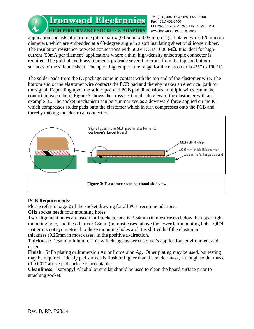Ironwood Electronics Fax: (651) 452-8400 **HIGH PERFORMANCE SOCKETS & ADAPTERS** 

Tel: (800) 404-0204 • (651) 452-8100 PO Box 21151 • St. Paul, MN 55121 • USA www.ironwoodelectronics.com

application consists of ultra fine pitch matrix (0.05mm x 0.05mm) of gold plated wires (20 micron diameter), which are embedded at a 63-degree angle in a soft insulating sheet of silicone rubber. The insulation resistance between connections with 500V DC is 1000 M $\Omega$ . It is ideal for highcurrent (50mA per filament) applications where a thin, high-density anisotropic connector is required. The gold-plated brass filaments protrude several microns from the top and bottom surfaces of the silicone sheet. The operating temperature range for the elastomer is  $-35^{\circ}$  to  $100^{\circ}$  C.

The solder pads from the IC package come in contact with the top end of the elastomer wire. The bottom end of the elastomer wire contacts the PCB pad and thereby makes an electrical path for the signal. Depending upon the solder pad and PCB pad dimensions, multiple wires can make contact between them. Figure 3 shows the cross-sectional side view of the elastomer with an example IC. The socket mechanism can be summarized as a downward force applied on the IC which compresses solder pads onto the elastomer which in turn compresses onto the PCB and thereby making the electrical connection.



#### **Figure 3: Elastomer cross-sectional side view**

# **PCB Requirements:**

Please refer to page 2 of the socket drawing for all PCB recommendations.

GHz socket needs four mounting holes.

Two alignment holes are used in all sockets. One is 2.54mm (in most cases) below the upper right mounting hole, and the other is 5.08mm (in most cases) above the lower left mounting hole. QFN pattern is not symmetrical to those mounting holes and it is shifted half the elastomer thickness (0.25mm in most cases) in the positive x-direction.

**Thickness:** 1.6mm minimum. This will change as per customer's application, environment and usage.

**Finish:** SnPb plating or Immersion Au or Immersion Ag. Other plating may be used, but testing may be required. Ideally pad surface is flush or higher than the solder mask, although solder mask of 0.002" above pad surface is acceptable.

**Cleanliness:** Isopropyl Alcohol or similar should be used to clean the board surface prior to attaching socket.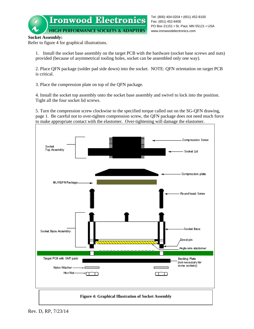Fax: (651) 452-8400 PO Box 21151 • St. Paul, MN 55121 • USA **HIGH PERFORMANCE SOCKETS & ADAPTERS** www.ironwoodelectronics.com

Tel: (800) 404-0204 • (651) 452-8100

## **Socket Assembly:**

Refer to figure 4 for graphical illustrations.

1. Install the socket base assembly on the target PCB with the hardware (socket base screws and nuts) provided (because of asymmetrical tooling holes, socket can be assembled only one way).

2. Place QFN package (solder pad side down) into the socket. NOTE: QFN orientation on target PCB is critical.

3. Place the compression plate on top of the QFN package.

4. Install the socket top assembly onto the socket base assembly and swivel to lock into the position. Tight all the four socket lid screws.

5. Turn the compression screw clockwise to the specified torque called out on the SG-QFN drawing, page 1. Be careful not to over-tighten compression screw, the QFN package does not need much force to make appropriate contact with the elastomer. Over-tightening will damage the elastomer.

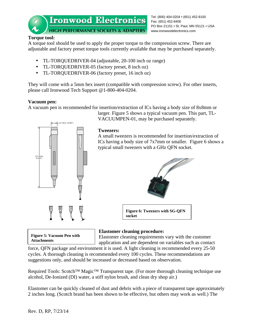Tel: (800) 404-0204 • (651) 452-8100 Fax: (651) 452-8400 PO Box 21151 • St. Paul, MN 55121 • USA www.ironwoodelectronics.com

# **Torque tool:**

A torque tool should be used to apply the proper torque to the compression screw. There are adjustable and factory preset torque tools currently available that may be purchased separately.

- TL-TORQUEDRIVER-04 (adjustable, 20-100 inch oz range)
- TL-TORQUEDRIVER-05 (factory preset, 8 inch oz)
- TL-TORQUEDRIVER-06 (factory preset, 16 inch oz)

They will come with a 5mm hex insert (compatible with compression screw). For other inserts, please call Ironwood Tech Support @1-800-404-0204.

# **Vacuum pen:**

12.70mm [0.500"]

127.00mm [5.000"]

A vacuum pen is recommended for insertion/extraction of ICs having a body size of 8x8mm or

larger. Figure 5 shows a typical vacuum pen. This part, TL-VACUUMPEN-01, may be purchased separately.

# **Tweezers:**

A small tweezers is recommended for insertion/extraction of ICs having a body size of 7x7mm or smaller. Figure 6 shows a typical small tweezers with a GHz QFN socket.



**Figure 6: Tweezers with SG-QFN socket**



# **Elastomer cleaning procedure:**

Elastomer cleaning requirements vary with the customer

application and are dependent on variables such as contact force, QFN package and environment it is used. A light cleaning is recommended every 25-50 cycles. A thorough cleaning is recommended every 100 cycles. These recommendations are suggestions only, and should be increased or decreased based on observation.

Required Tools: Scotch™ Magic<sup>™</sup> Transparent tape. (For more thorough cleaning technique use alcohol, De-Ionized (DI) water, a stiff nylon brush, and clean dry shop air.)

Elastomer can be quickly cleaned of dust and debris with a piece of transparent tape approximately 2 inches long. (Scotch brand has been shown to be effective, but others may work as well.) The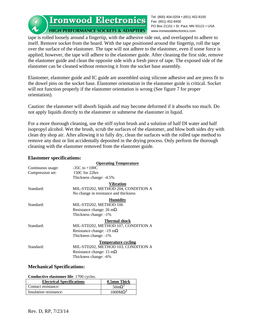Ironwood Electronics Fax: (651) 452-8400

**HIGH PERFORMANCE SOCKETS & ADAPTERS** 

Tel: (800) 404-0204 • (651) 452-8100 PO Box 21151 • St. Paul, MN 55121 • USA www.ironwoodelectronics.com

tape is rolled loosely around a fingertip, with the adhesive side out, and overlapped to adhere to itself. Remove socket from the board. With the tape positioned around the fingertip, roll the tape over the surface of the elastomer. The tape will not adhere to the elastomer, even if some force is applied, however, the tape will adhere to the elastomer guide. After cleaning the first side, remove the elastomer guide and clean the opposite side with a fresh piece of tape. The exposed side of the elastomer can be cleaned without removing it from the socket base assembly.

Elastomer, elastomer guide and IC guide are assembled using silicone adhesive and are press fit to the dowel pins on the socket base. Elastomer orientation in the elastomer guide is critical. Socket will not function properly if the elastomer orientation is wrong (See figure 7 for proper orientation).

Caution: the elastomer will absorb liquids and may become deformed if it absorbs too much. Do not apply liquids directly to the elastomer or submerse the elastomer in liquid.

For a more thorough cleaning, use the stiff nylon brush and a solution of half DI water and half isopropyl alcohol. Wet the brush, scrub the surfaces of the elastomer, and blow both sides dry with clean dry shop air. After allowing it to fully dry, clean the surfaces with the rolled tape method to remove any dust or lint accidentally deposited in the drying process. Only perform the thorough cleaning with the elastomer removed from the elastomer guide.

#### **Elastomer specifications:**

|                   | <b>Operating Temperature</b>            |
|-------------------|-----------------------------------------|
| Continuous usage: | $-35C$ to $+100C$                       |
| Compression set:  | 150C for 22hrs                          |
|                   | Thickness change: -4.5%                 |
|                   | <b>Vibration</b>                        |
| Standard:         | MIL-STD202, METHOD 204, CONDITION A     |
|                   | No change in resistance and thickness   |
|                   | <b>Humidity</b>                         |
| Standard:         | MIL-STD202, METHOD 106                  |
|                   | Resistance change: $26 \text{ mA}$      |
|                   | Thickness change: -1%                   |
|                   | <b>Thermal shock</b>                    |
| Standard:         | MIL-STD202, METHOD 107, CONDITION A     |
|                   | Resistance change: $-19 \text{ mA}$     |
|                   | Thickness change: -1%                   |
|                   | <b>Temperature cycling</b>              |
| Standard:         | MIL-STD202, METHOD 103, CONDITION A     |
|                   | Resistance change: $15 \text{ m}\Omega$ |
|                   | Thickness change: -6%                   |
|                   |                                         |

## **Mechanical Specifications:**

**Conductive elastomer life**: 1700 cycles.

| <b>Electrical Specifications</b> | 0.5mm Thick            |
|----------------------------------|------------------------|
| Contact resistance:              | $50 \text{m}\Omega^1$  |
| Insulation resistance:           | $1000\text{M}\Omega^2$ |